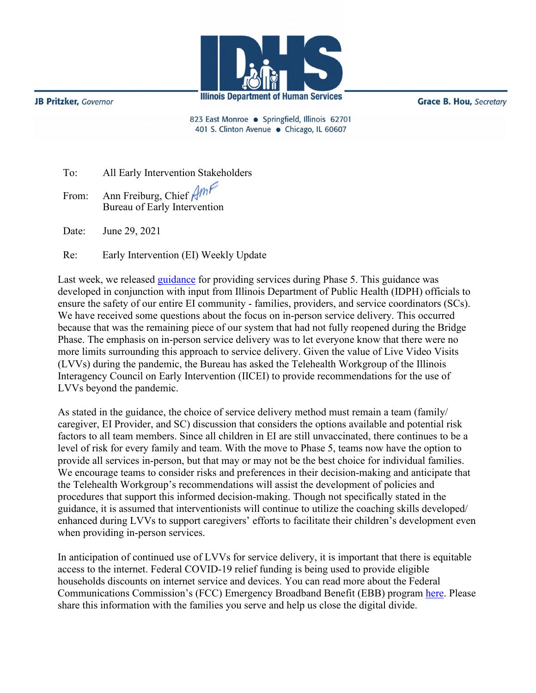

**JB Pritzker**, Governor

**Grace B. Hou, Secretary** 

823 East Monroe · Springfield, Illinois 62701 401 S. Clinton Avenue · Chicago, IL 60607

| To: |  | All Early Intervention Stakeholders |
|-----|--|-------------------------------------|
|     |  |                                     |

From: Ann Freiburg, Chief Am Bureau of Early Intervention

Date: June 29, 2021

Re: Early Intervention (EI) Weekly Update

Last week, we released [guidance](http://www.wiu.edu/coehs/provider_connections/pdf/Revised%20Early%20Intervention%20Plan%20for%20Resuming%20In-Person%20Services-06-23-21.pdf) for providing services during Phase 5. This guidance was developed in conjunction with input from Illinois Department of Public Health (IDPH) officials to ensure the safety of our entire EI community - families, providers, and service coordinators (SCs). We have received some questions about the focus on in-person service delivery. This occurred because that was the remaining piece of our system that had not fully reopened during the Bridge Phase. The emphasis on in-person service delivery was to let everyone know that there were no more limits surrounding this approach to service delivery. Given the value of Live Video Visits (LVVs) during the pandemic, the Bureau has asked the Telehealth Workgroup of the Illinois Interagency Council on Early Intervention (IICEI) to provide recommendations for the use of LVVs beyond the pandemic.

As stated in the guidance, the choice of service delivery method must remain a team (family/ caregiver, EI Provider, and SC) discussion that considers the options available and potential risk factors to all team members. Since all children in EI are still unvaccinated, there continues to be a level of risk for every family and team. With the move to Phase 5, teams now have the option to provide all services in-person, but that may or may not be the best choice for individual families. We encourage teams to consider risks and preferences in their decision-making and anticipate that the Telehealth Workgroup's recommendations will assist the development of policies and procedures that support this informed decision-making. Though not specifically stated in the guidance, it is assumed that interventionists will continue to utilize the coaching skills developed/ enhanced during LVVs to support caregivers' efforts to facilitate their children's development even when providing in-person services.

In anticipation of continued use of LVVs for service delivery, it is important that there is equitable access to the internet. Federal COVID-19 relief funding is being used to provide eligible households discounts on internet service and devices. You can read more about the Federal Communications Commission's (FCC) Emergency Broadband Benefit (EBB) program [here.](https://www2.illinois.gov/sites/OECD/Documents/6.14%20Illinois%20EBB%20Release.pdf) Please share this information with the families you serve and help us close the digital divide.